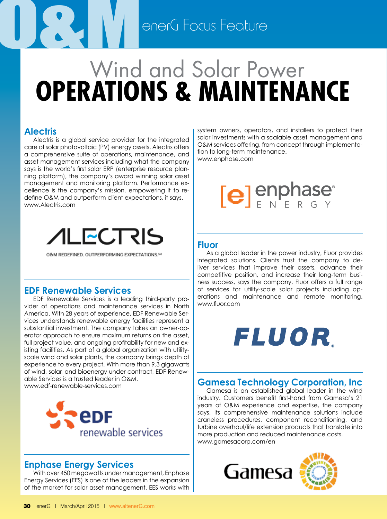## **Operations & Maintenance** O<br>Campione General Focus Feature Wind and Solar Power

#### **Alectris**

Alectris is a global service provider for the integrated care of solar photovoltaic (PV) energy assets. Alectris offers a comprehensive suite of operations, maintenance, and asset management services including what the company says is the world's first solar ERP (enterprise resource planning platform), the company's award winning solar asset management and monitoring platform. Performance excellence is the company's mission, empowering it to redefine O&M and outperform client expectations, it says. www.Alectris.com



O&M REDEFINED, OUTPERFORMING EXPECTATIONS.5

#### **EDF Renewable Services**

EDF Renewable Services is a leading third-party provider of operations and maintenance services in North America. With 28 years of experience, EDF Renewable Services understands renewable energy facilities represent a substantial investment. The company takes an owner-operator approach to ensure maximum returns on the asset, full project value, and ongoing profitability for new and existing facilities. As part of a global organization with utilityscale wind and solar plants, the company brings depth of experience to every project. With more than 9.3 gigawatts of wind, solar, and bioenergy under contract, EDF Renewable Services is a trusted leader in O&M. www.edf-renewable-services.com



#### **Enphase Energy Services**

With over 450 megawatts under management, Enphase Energy Services (EES) is one of the leaders in the expansion of the market for solar asset management. EES works with system owners, operators, and installers to protect their solar investments with a scalable asset management and O&M services offering, from concept through implementation to long-term maintenance. www.enphase.com

## $[e]$  enphase

#### **Fluor**

As a global leader in the power industry, Fluor provides integrated solutions. Clients trust the company to deliver services that improve their assets, advance their competitive position, and increase their long-term business success, says the company. Fluor offers a full range of services for utility-scale solar projects including operations and maintenance and remote monitoring. www.fluor.com

## FLUOR.

#### **Gamesa Technology Corporation, Inc**

Gamesa is an established global leader in the wind industry. Customers benefit first-hand from Gamesa's 21 years of O&M experience and expertise, the company says. Its comprehensive maintenance solutions include craneless procedures, component reconditioning, and turbine overhaul/life extension products that translate into more production and reduced maintenance costs. www.gamesacorp.com/en

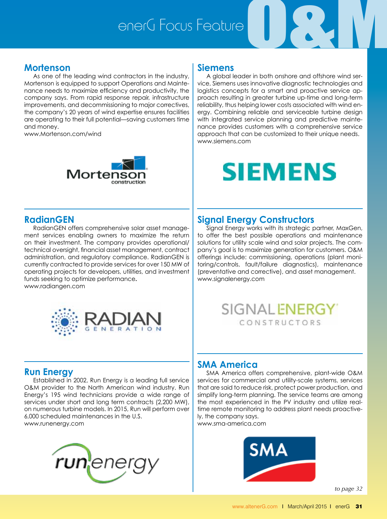# enerG Focus FeatureO&M



As one of the leading wind contractors in the industry, Mortenson is equipped to support Operations and Maintenance needs to maximize efficiency and productivity, the company says. From rapid response repair, infrastructure improvements, and decommissioning to major correctives, the company's 20 years of wind expertise ensures facilities are operating to their full potential—saving customers time and money.

www.Mortenson.com/wind



#### **RadianGEN**

RadianGEN offers comprehensive solar asset management services enabling owners to maximize the return on their investment. The company provides operational/ technical oversight, financial asset management, contract administration, and regulatory compliance. RadianGEN is currently contracted to provide services for over 150 MW of operating projects for developers, utilities, and investment funds seeking to optimize performance**.**





#### **Run Energy**

Established in 2002, Run Energy is a leading full service O&M provider to the North American wind industry. Run Energy's 195 wind technicians provide a wide range of services under short and long term contracts (2,200 MW), on numerous turbine models. In 2015, Run will perform over 6,000 scheduled maintenances in the U.S. www.runenergy.com

run¦ene

#### **Siemens**

A global leader in both onshore and offshore wind service, Siemens uses innovative diagnostic technologies and logistics concepts for a smart and proactive service approach resulting in greater turbine up-time and long-term reliability, thus helping lower costs associated with wind energy. Combining reliable and serviceable turbine design with integrated service planning and predictive maintenance provides customers with a comprehensive service approach that can be customized to their unique needs. www.siemens.com

## **SIEMENS**

#### **Signal Energy Constructors**

Signal Energy works with its strategic partner, MaxGen, to offer the best possible operations and maintenance solutions for utility scale wind and solar projects. The company's goal is to maximize generation for customers. O&M offerings include: commissioning, operations (plant monitoring/controls, fault/failure diagnostics), maintenance (preventative and corrective), and asset management. www.signalenergy.com



#### **SMA America**

SMA America offers comprehensive, plant-wide O&M services for commercial and utility-scale systems, services that are said to reduce risk, protect power production, and simplify long-term planning. The service teams are among the most experienced in the PV industry and utilize realtime remote monitoring to address plant needs proactively, the company says.

www.sma-america.com



*to page 31 to page 32*